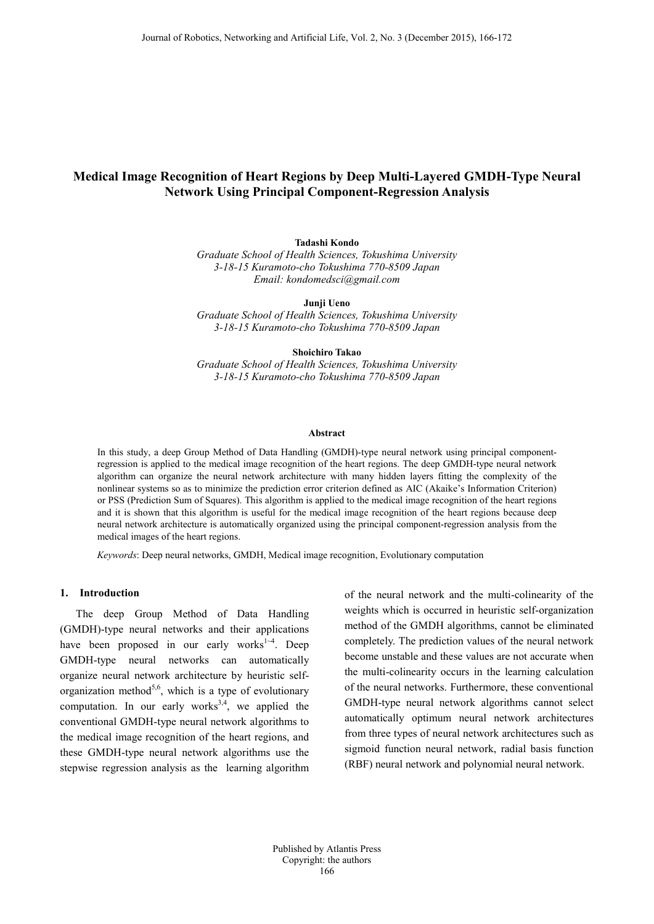# **Medical Image Recognition of Heart Regions by Deep Multi-Layered GMDH-Type Neural Network Using Principal Component-Regression Analysis**

**Tadashi Kondo**

*Graduate School of Health Sciences, Tokushima University 3-18-15 Kuramoto-cho Tokushima 770-8509 Japan Email: kondomedsci@gmail.com*

**Junji Ueno** *Graduate School of Health Sciences, Tokushima University 3-18-15 Kuramoto-cho Tokushima 770-8509 Japan*

**Shoichiro Takao** *Graduate School of Health Sciences, Tokushima University 3-18-15 Kuramoto-cho Tokushima 770-8509 Japan*

#### **Abstract**

In this study, a deep Group Method of Data Handling (GMDH)-type neural network using principal componentregression is applied to the medical image recognition of the heart regions. The deep GMDH-type neural network algorithm can organize the neural network architecture with many hidden layers fitting the complexity of the nonlinear systems so as to minimize the prediction error criterion defined as AIC (Akaike's Information Criterion) or PSS (Prediction Sum of Squares). This algorithm is applied to the medical image recognition of the heart regions and it is shown that this algorithm is useful for the medical image recognition of the heart regions because deep neural network architecture is automatically organized using the principal component-regression analysis from the medical images of the heart regions.

*Keywords*: Deep neural networks, GMDH, Medical image recognition, Evolutionary computation

## **1. Introduction**

The deep Group Method of Data Handling (GMDH)-type neural networks and their applications have been proposed in our early works<sup>1-4</sup>. Deep GMDH-type neural networks can automatically organize neural network architecture by heuristic selforganization method<sup>5,6</sup>, which is a type of evolutionary computation. In our early works<sup>3,4</sup>, we applied the conventional GMDH-type neural network algorithms to the medical image recognition of the heart regions, and these GMDH-type neural network algorithms use the stepwise regression analysis as the learning algorithm

of the neural network and the multi-colinearity of the weights which is occurred in heuristic self-organization method of the GMDH algorithms, cannot be eliminated completely. The prediction values of the neural network become unstable and these values are not accurate when the multi-colinearity occurs in the learning calculation of the neural networks. Furthermore, these conventional GMDH-type neural network algorithms cannot select automatically optimum neural network architectures from three types of neural network architectures such as sigmoid function neural network, radial basis function (RBF) neural network and polynomial neural network.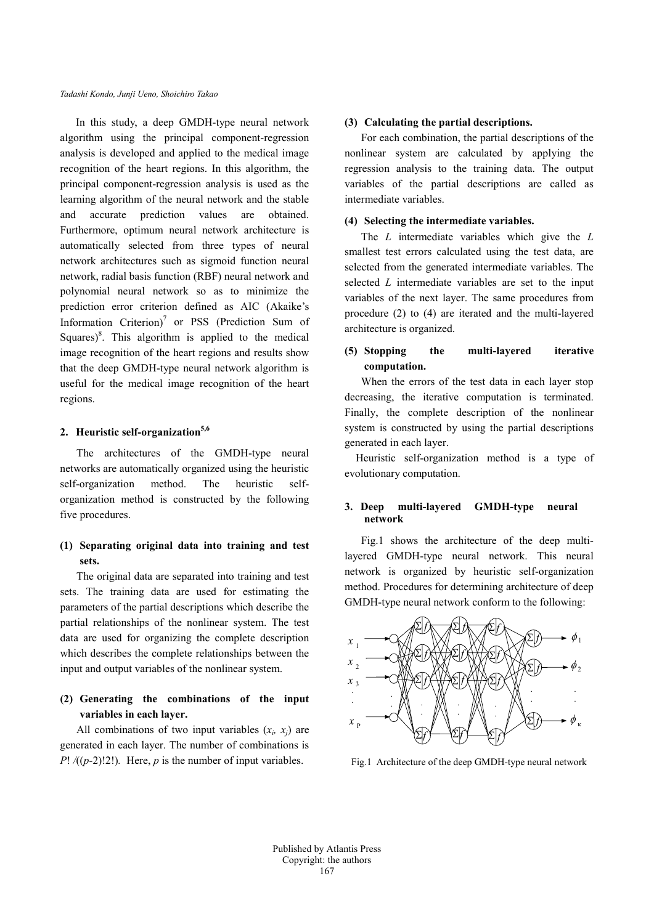In this study, a deep GMDH-type neural network algorithm using the principal component-regression analysis is developed and applied to the medical image recognition of the heart regions. In this algorithm, the principal component-regression analysis is used as the learning algorithm of the neural network and the stable and accurate prediction values are obtained. Furthermore, optimum neural network architecture is automatically selected from three types of neural network architectures such as sigmoid function neural network, radial basis function (RBF) neural network and polynomial neural network so as to minimize the prediction error criterion defined as AIC (Akaike's Information Criterion)<sup>7</sup> or PSS (Prediction Sum of Squares) $8$ . This algorithm is applied to the medical image recognition of the heart regions and results show that the deep GMDH-type neural network algorithm is useful for the medical image recognition of the heart regions.

# 2. **Heuristic self-organization**<sup>5,6</sup>

The architectures of the GMDH-type neural networks are automatically organized using the heuristic self-organization method. The heuristic selforganization method is constructed by the following five procedures.

# **(1) Separating original data into training and test sets.**

The original data are separated into training and test sets. The training data are used for estimating the parameters of the partial descriptions which describe the partial relationships of the nonlinear system. The test data are used for organizing the complete description which describes the complete relationships between the input and output variables of the nonlinear system.

## **(2) Generating the combinations of the input variables in each layer.**

All combinations of two input variables  $(x_i, x_j)$  are generated in each layer. The number of combinations is *P*!  $/(p-2)$ !2!). Here, *p* is the number of input variables.

### **(3) Calculating the partial descriptions.**

For each combination, the partial descriptions of the nonlinear system are calculated by applying the regression analysis to the training data. The output variables of the partial descriptions are called as intermediate variables.

### **(4) Selecting the intermediate variables.**

The *L* intermediate variables which give the *L* smallest test errors calculated using the test data, are selected from the generated intermediate variables. The selected *L* intermediate variables are set to the input variables of the next layer. The same procedures from procedure (2) to (4) are iterated and the multi-layered architecture is organized.

# **(5) Stopping the multi-layered iterative computation.**

When the errors of the test data in each layer stop decreasing, the iterative computation is terminated. Finally, the complete description of the nonlinear system is constructed by using the partial descriptions generated in each layer.

 Heuristic self-organization method is a type of evolutionary computation.

## **3. Deep multi-layered GMDH-type neural network**

Fig.1 shows the architecture of the deep multilayered GMDH-type neural network. This neural network is organized by heuristic self-organization method. Procedures for determining architecture of deep GMDH-type neural network conform to the following:



Fig.1 Architecture of the deep GMDH-type neural network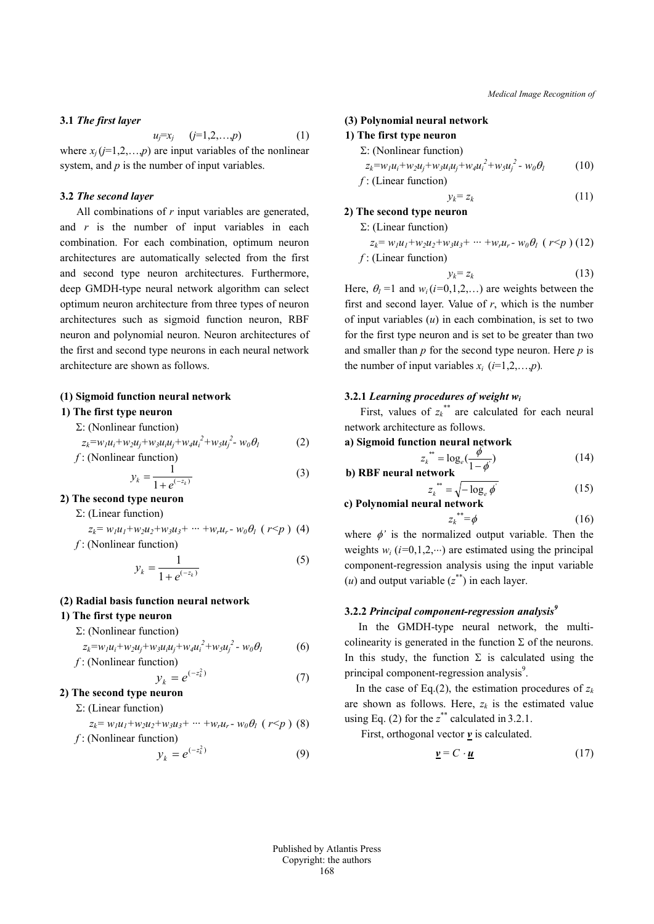### **3.1** *The first layer*

where 
$$
x_j
$$
 ( $j=1,2,...,p$ ) (1)  
where  $x_j$  ( $j=1,2,...,p$ ) are input variables of the nonlinear  
system, and p is the number of input variables.

### **3.2** *The second layer*

All combinations of *r* input variables are generated, and *r* is the number of input variables in each combination. For each combination, optimum neuron architectures are automatically selected from the first and second type neuron architectures. Furthermore, deep GMDH-type neural network algorithm can select optimum neuron architecture from three types of neuron architectures such as sigmoid function neuron, RBF neuron and polynomial neuron. Neuron architectures of the first and second type neurons in each neural network architecture are shown as follows.

#### **(1) Sigmoid function neural network**

### **1) The first type neuron**

Σ: (Nonlinear function)

$$
z_k = w_l u_i + w_2 u_j + w_3 u_i u_j + w_4 u_i^2 + w_5 u_j^2 - w_0 \theta_l
$$
\n
$$
f: \text{(Nonlinear function)}
$$
\n
$$
\tag{2}
$$

$$
y_k = \frac{1}{1 + e^{(-z_k)}}\tag{3}
$$

**2) The second type neuron**

### Σ: (Linear function)

$$
z_k = w_l u_l + w_2 u_2 + w_3 u_3 + \dots + w_r u_r - w_0 \theta_l \ (r < p) \ (4)
$$

*f* : (Nonlinear function)

$$
y_k = \frac{1}{1 + e^{(-z_k)}}\tag{5}
$$

### **(2) Radial basis function neural network**

## **1) The first type neuron**

Σ: (Nonlinear function)

$$
z_k = w_l u_i + w_2 u_j + w_3 u_i u_j + w_4 u_i^2 + w_5 u_j^2 - w_0 \theta_l
$$
 (6)  
*f*: (Nonlinear function)

 $\left( -z_k^2 \right)$ 

$$
y_k = e^{(-z_k^2)} \tag{7}
$$

# **2) The second type neuron**

Σ: (Linear function)

$$
z_k = w_l u_l + w_2 u_2 + w_3 u_3 + \dots + w_r u_r - w_0 \theta_l \ (r < p) \ (8)
$$
  
*f*: (Nonlinear function)

$$
y_k = e^{(-z_k^2)} \tag{9}
$$

#### **(3) Polynomial neural network**

#### **1) The first type neuron**

$$
\Sigma
$$
: (Nonlinear function)

$$
z_k = w_l u_i + w_2 u_j + w_3 u_i u_j + w_4 u_i^2 + w_5 u_j^2 - w_0 \theta_l
$$
 (10)  
*f*: (Linear function)

$$
y_k = z_k \tag{11}
$$

*Medical Image Recognition of*

## **2) The second type neuron**

Σ: (Linear function)  
\n
$$
z_k = w_l u_l + w_2 u_2 + w_3 u_3 + \dots + w_r u_r - w_0 \theta_l
$$
 (*r*<*ρ*) (12)  
\n*f*: (Linear function)

$$
y_k = z_k \tag{13}
$$

Here,  $\theta_l = 1$  and  $w_i (i=0,1,2,...)$  are weights between the first and second layer. Value of *r*, which is the number of input variables (*u*) in each combination, is set to two for the first type neuron and is set to be greater than two and smaller than *p* for the second type neuron. Here *p* is the number of input variables  $x_i$  ( $i=1,2,...,p$ ).

### **3.2.1** *Learning procedures of weight wi*

First, values of  $z_k^{**}$  are calculated for each neural network architecture as follows.

a) Sigmoid function neural network  
\n
$$
z_k^{**} = \log_e(\frac{\phi}{1-\phi})
$$
\nb) RBF neural network\n
$$
\boxed{14}
$$

$$
z_k^{**} = \sqrt{-\log_e \phi'}
$$
 (15)  
al neural network

# **c**) Polynomial neural netwo

$$
z_k^{\ast\ast} = \phi \tag{16}
$$

where  $\phi'$  is the normalized output variable. Then the weights  $w_i$  ( $i=0,1,2,\dots$ ) are estimated using the principal component-regression analysis using the input variable  $(u)$  and output variable  $(z^*)$  in each layer.

### **3.2.2** *Principal component-regression analysis9*

 In the GMDH-type neural network, the multicolinearity is generated in the function  $\Sigma$  of the neurons. In this study, the function  $\Sigma$  is calculated using the principal component-regression analysis<sup>9</sup>.

In the case of Eq.(2), the estimation procedures of  $z_k$ are shown as follows. Here,  $z_k$  is the estimated value using Eq.  $(2)$  for the  $z^*$  calculated in 3.2.1.

First, orthogonal vector  $\underline{v}$  is calculated.

$$
\underline{\mathbf{v}} = C \cdot \underline{\mathbf{u}} \tag{17}
$$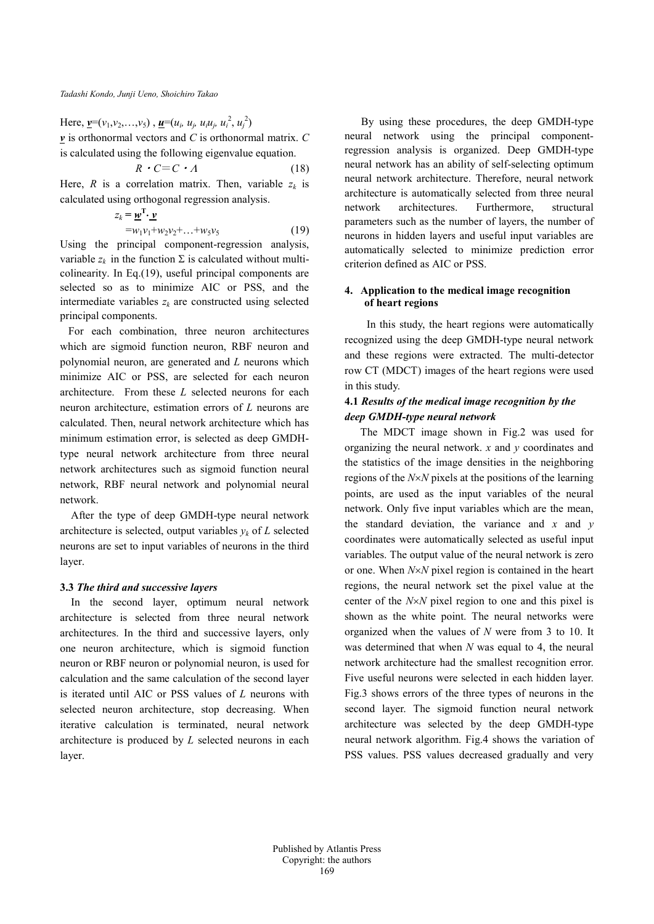Here,  $\underline{v}=(v_1,v_2,\ldots,v_5)$ ,  $\underline{u}=(u_i, u_j, u_iu_j, u_i^2, u_j^2)$ *v* is orthonormal vectors and *C* is orthonormal matrix. *C* is calculated using the following eigenvalue equation.

$$
R \cdot C = C \cdot A \tag{18}
$$

Here, *R* is a correlation matrix. Then, variable  $z_k$  is calculated using orthogonal regression analysis.

$$
z_k = \underline{\mathbf{w}}^{\mathrm{T}} \cdot \underline{\mathbf{v}} \\
= w_1 v_1 + w_2 v_2 + \dots + w_5 v_5
$$
\n(19)

Using the principal component-regression analysis, variable  $z_k$  in the function  $\Sigma$  is calculated without multicolinearity. In Eq.(19), useful principal components are selected so as to minimize AIC or PSS, and the intermediate variables  $z_k$  are constructed using selected principal components.

 For each combination, three neuron architectures which are sigmoid function neuron, RBF neuron and polynomial neuron, are generated and *L* neurons which minimize AIC or PSS, are selected for each neuron architecture. From these *L* selected neurons for each neuron architecture, estimation errors of *L* neurons are calculated. Then, neural network architecture which has minimum estimation error, is selected as deep GMDHtype neural network architecture from three neural network architectures such as sigmoid function neural network, RBF neural network and polynomial neural network.

After the type of deep GMDH-type neural network architecture is selected, output variables  $y_k$  of  $L$  selected neurons are set to input variables of neurons in the third layer.

### **3.3** *The third and successive layers*

In the second layer, optimum neural network architecture is selected from three neural network architectures. In the third and successive layers, only one neuron architecture, which is sigmoid function neuron or RBF neuron or polynomial neuron, is used for calculation and the same calculation of the second layer is iterated until AIC or PSS values of *L* neurons with selected neuron architecture, stop decreasing. When iterative calculation is terminated, neural network architecture is produced by *L* selected neurons in each layer.

By using these procedures, the deep GMDH-type neural network using the principal componentregression analysis is organized. Deep GMDH-type neural network has an ability of self-selecting optimum neural network architecture. Therefore, neural network architecture is automatically selected from three neural network architectures. Furthermore, structural parameters such as the number of layers, the number of neurons in hidden layers and useful input variables are automatically selected to minimize prediction error criterion defined as AIC or PSS.

## **4. Application to the medical image recognition of heart regions**

In this study, the heart regions were automatically recognized using the deep GMDH-type neural network and these regions were extracted. The multi-detector row CT (MDCT) images of the heart regions were used in this study.

# **4.1** *Results of the medical image recognition by the deep GMDH-type neural network*

The MDCT image shown in Fig.2 was used for organizing the neural network. *x* and *y* coordinates and the statistics of the image densities in the neighboring regions of the *N*×*N* pixels at the positions of the learning points, are used as the input variables of the neural network. Only five input variables which are the mean, the standard deviation, the variance and *x* and *y* coordinates were automatically selected as useful input variables. The output value of the neural network is zero or one. When *N*×*N* pixel region is contained in the heart regions, the neural network set the pixel value at the center of the *N*×*N* pixel region to one and this pixel is shown as the white point. The neural networks were organized when the values of *N* were from 3 to 10. It was determined that when *N* was equal to 4, the neural network architecture had the smallest recognition error. Five useful neurons were selected in each hidden layer. Fig.3 shows errors of the three types of neurons in the second layer. The sigmoid function neural network architecture was selected by the deep GMDH-type neural network algorithm. Fig.4 shows the variation of PSS values. PSS values decreased gradually and very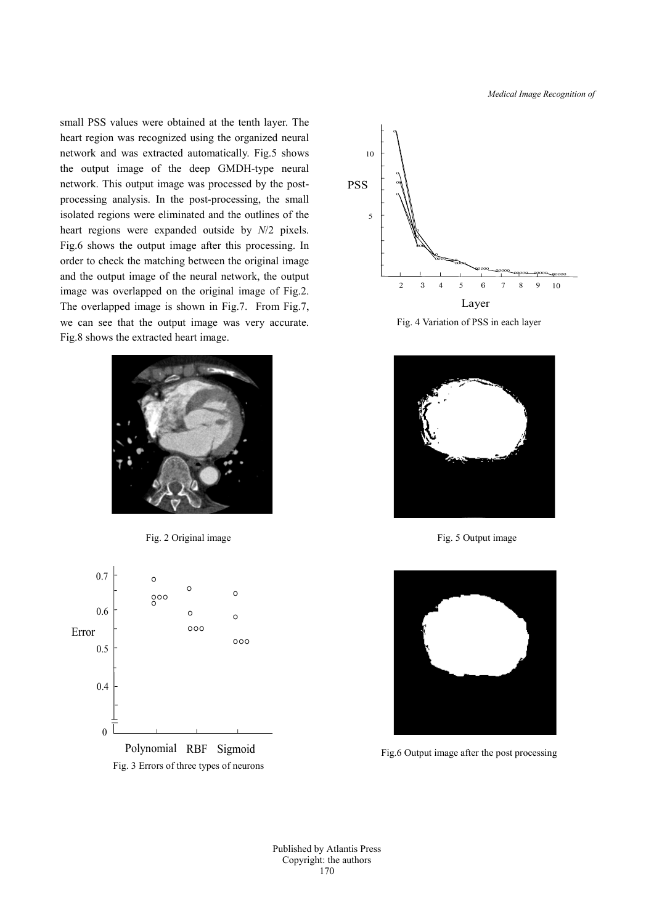*Medical Image Recognition of*

small PSS values were obtained at the tenth layer. The heart region was recognized using the organized neural network and was extracted automatically. Fig.5 shows the output image of the deep GMDH-type neural network. This output image was processed by the postprocessing analysis. In the post-processing, the small isolated regions were eliminated and the outlines of the heart regions were expanded outside by *N*/2 pixels. Fig.6 shows the output image after this processing. In order to check the matching between the original image and the output image of the neural network, the output image was overlapped on the original image of Fig.2. The overlapped image is shown in Fig.7. From Fig.7, we can see that the output image was very accurate. Fig.8 shows the extracted heart image.















Fig. 5 Output image



Fig.6 Output image after the post processing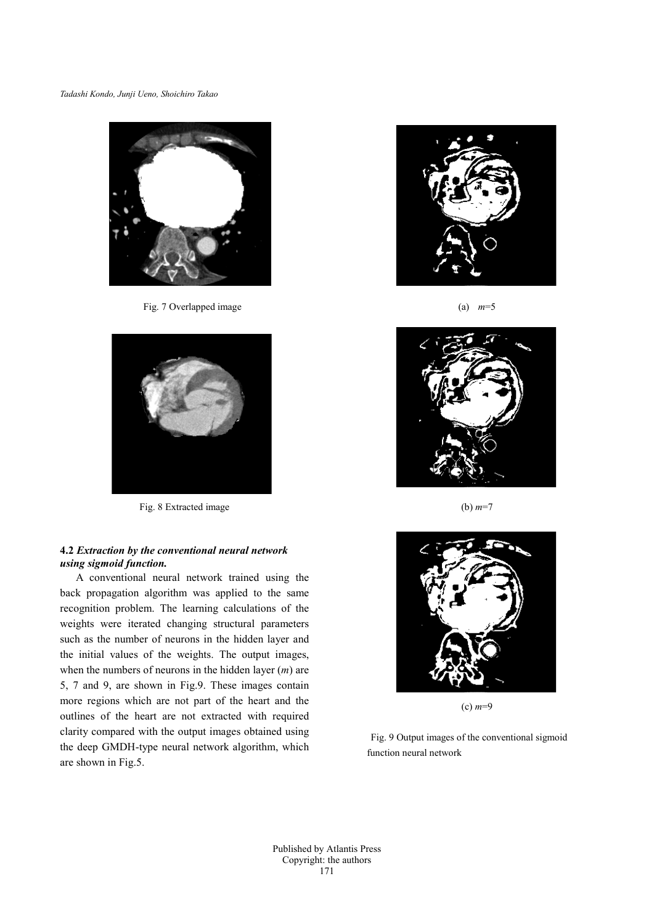

Fig. 7 Overlapped image



Fig. 8 Extracted image

## **4.2** *Extraction by the conventional neural network using sigmoid function.*

A conventional neural network trained using the back propagation algorithm was applied to the same recognition problem. The learning calculations of the weights were iterated changing structural parameters such as the number of neurons in the hidden layer and the initial values of the weights. The output images, when the numbers of neurons in the hidden layer (*m*) are 5, 7 and 9, are shown in Fig.9. These images contain more regions which are not part of the heart and the outlines of the heart are not extracted with required clarity compared with the output images obtained using the deep GMDH-type neural network algorithm, which are shown in Fig.5.



(a) *m*=5



(b) *m*=7



(c) *m*=9

Fig. 9 Output images of the conventional sigmoid function neural network